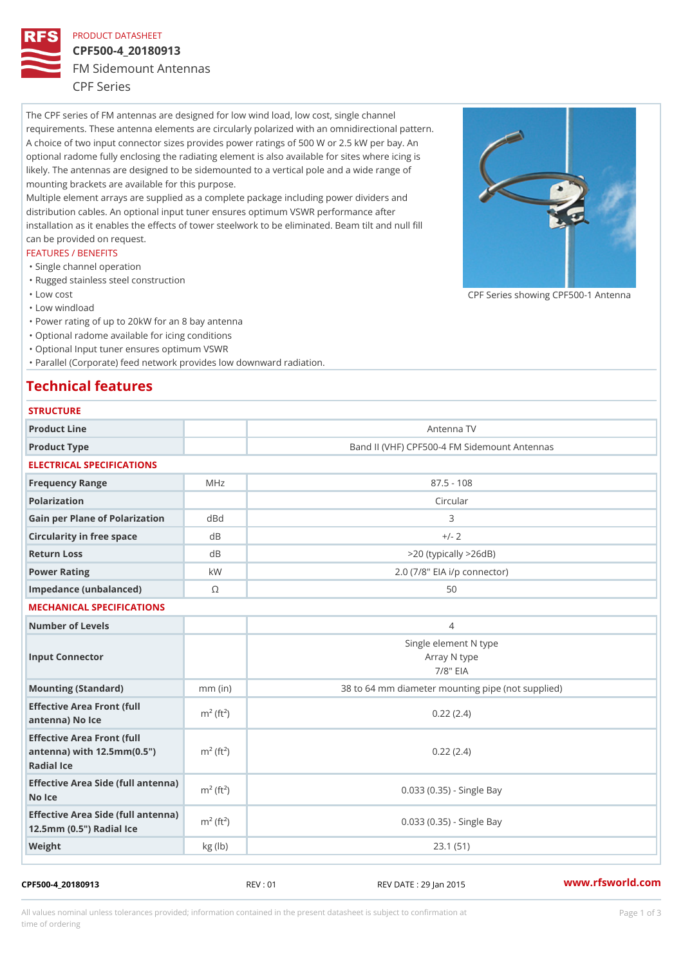### PRODUCT DATASHEET

## CPF500-4\_20180913 FM Sidemount Antennas CPF Series

The CPF series of FM antennas are designed for low wind load, low cost, single channel requirements. These antenna elements are circularly polarized with an omnidirectional pattern. A choice of two input connector sizes provides power ratings of 500 W or 2.5 kW per bay. An optional radome fully enclosing the radiating element is also available for sites where icing is likely. The antennas are designed to be sidemounted to a vertical pole and a wide range of mounting brackets are available for this purpose. Multiple element arrays are supplied as a complete package including power dividers and distribution cables. An optional input tuner ensures optimum VSWR performance after installation as it enables the effects of tower steelwork to be eliminated. Beam tilt and null fill can be provided on request.

### FEATURES / BENEFITS

- "Single channel operation
- "Rugged stainless steel construction
- "Low cost

"Low windload

"Power rating of up to 20kW for an 8 bay antenna

- "Optional radome available for icing conditions
- "Optional Input tuner ensures optimum VSWR

"Parallel (Corporate) feed network provides low downward radiation.

# Technical features

| <b>STRUCTURE</b>                                                                                                   |                       |                                                      |
|--------------------------------------------------------------------------------------------------------------------|-----------------------|------------------------------------------------------|
| Product Line                                                                                                       |                       | Antenna TV                                           |
| Product Type                                                                                                       |                       | Band II (VHF) CPF500-4 FM Sidemount Antennas         |
| ELECTRICAL SPECIFICATIONS                                                                                          |                       |                                                      |
| Frequency Range                                                                                                    | MHz                   | $87.5 - 108$                                         |
| Polarization                                                                                                       |                       | Circular                                             |
| Gain per Plane of PolarizatdoBnd                                                                                   |                       | 3                                                    |
| Circularity in free space                                                                                          | d B                   | $+/- 2$                                              |
| Return Loss                                                                                                        | d B                   | $>$ 20 (typically $>$ 26dB)                          |
| Power Rating                                                                                                       | k W                   | 2.0 (7/8" EIA i/p connector)                         |
| Impedance (unbalanced)                                                                                             | $\odot$               | 50                                                   |
| MECHANICAL SPECIFICATIONS                                                                                          |                       |                                                      |
| Number of Levels                                                                                                   |                       | $\overline{4}$                                       |
| Input Connector                                                                                                    |                       | Single element N type<br>Array N type<br>$7/8$ " EIA |
| Mounting (Standard)                                                                                                | $mm$ (in)             | 38 to 64 mm diameter mounting pipe (not supplied)    |
| Effective Area Front (full<br>antenna) No Ice                                                                      | $m2$ (ft <sup>2</sup> | 0.22(2.4)                                            |
| Effective Area Front (full<br>antenna) with $12.5$ mm $(0.5$ " $\pi$ <sup>2</sup> (ft <sup>2</sup> )<br>Radial Ice |                       | 0.22(2.4)                                            |
| Effective Area Side (full antenna)<br>No Ice                                                                       |                       | 0.033 (0.35) - Single Bay                            |
| Effective Area Side (full antenna)<br>12.5mm (0.5") Radial Ice                                                     |                       | 0.033 (0.35) - Single Bay                            |
| Weight                                                                                                             | kg (1b)               | 23.1(51)                                             |

### CPF500-4\_20180913 REV : 01 REV DATE : 29 Jan 2015 [www.](https://www.rfsworld.com)rfsworld.com

CPF Series showing CPF500-1 And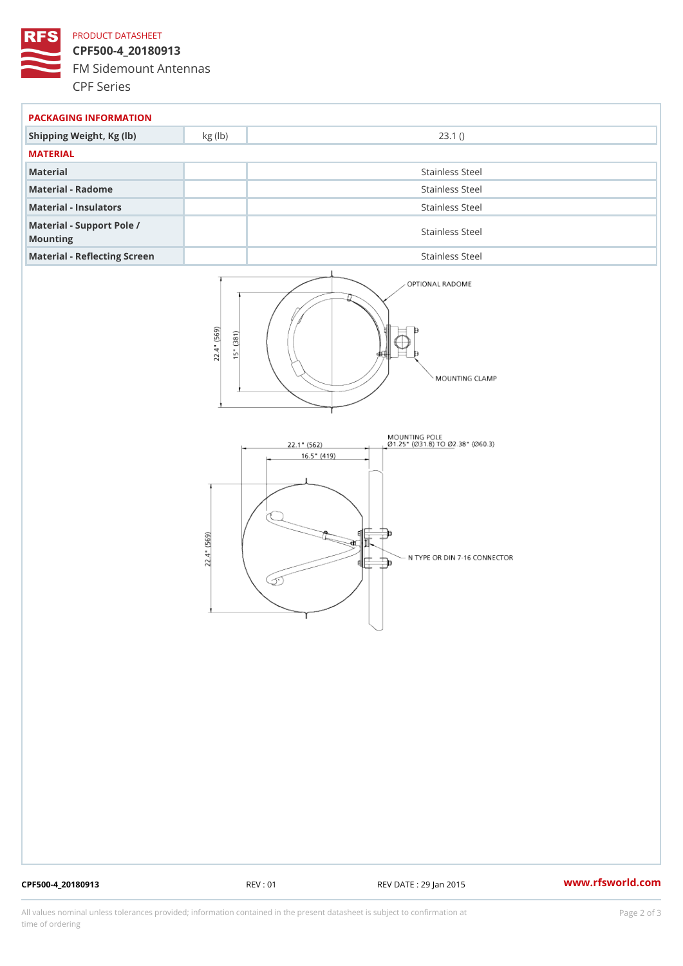### PRODUCT DATASHEET

CPF500-4\_20180913 FM Sidemount Antennas CPF Series

| PACKAGING INFORMATION                 |                 |  |  |
|---------------------------------------|-----------------|--|--|
| Shipping Weight, Kg (Ib) kg (Ib)      | 23.1()          |  |  |
| MATERIAL                              |                 |  |  |
| Material                              | Stainless Steel |  |  |
| Material - Radome                     | Stainless Steel |  |  |
| Material - Insulators                 | Stainless Steel |  |  |
| Material - Support Pole /<br>Mounting | Stainless Steel |  |  |
| Material - Reflecting Screen          | Stainless Steel |  |  |

CPF500-4\_20180913 REV : 01 REV DATE : 29 Jan 2015 [www.](https://www.rfsworld.com)rfsworld.com

All values nominal unless tolerances provided; information contained in the present datasheet is subject to Pcapgelio an atio time of ordering